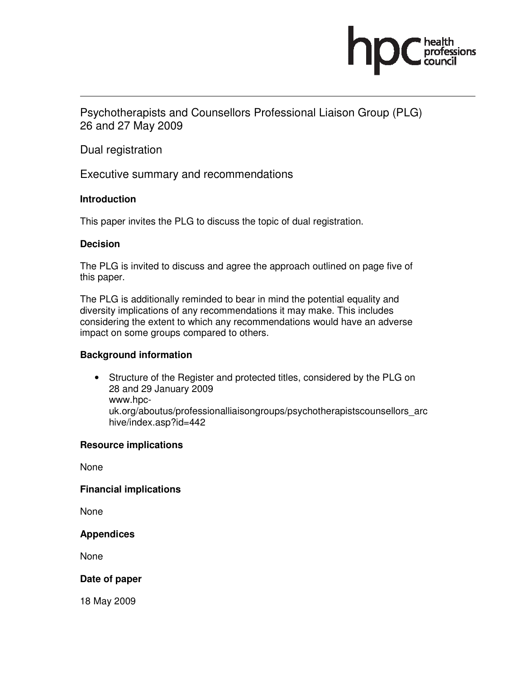

Psychotherapists and Counsellors Professional Liaison Group (PLG) 26 and 27 May 2009

Dual registration

Executive summary and recommendations

# **Introduction**

This paper invites the PLG to discuss the topic of dual registration.

# **Decision**

The PLG is invited to discuss and agree the approach outlined on page five of this paper.

The PLG is additionally reminded to bear in mind the potential equality and diversity implications of any recommendations it may make. This includes considering the extent to which any recommendations would have an adverse impact on some groups compared to others.

# **Background information**

• Structure of the Register and protected titles, considered by the PLG on 28 and 29 January 2009 www.hpcuk.org/aboutus/professionalliaisongroups/psychotherapistscounsellors\_arc

**Resource implications** 

hive/index.asp?id=442

None

### **Financial implications**

None

### **Appendices**

None

### **Date of paper**

18 May 2009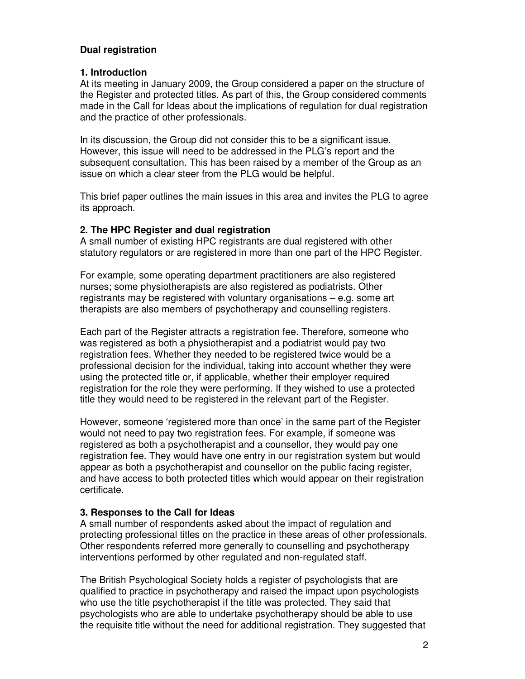# **Dual registration**

# **1. Introduction**

At its meeting in January 2009, the Group considered a paper on the structure of the Register and protected titles. As part of this, the Group considered comments made in the Call for Ideas about the implications of regulation for dual registration and the practice of other professionals.

In its discussion, the Group did not consider this to be a significant issue. However, this issue will need to be addressed in the PLG's report and the subsequent consultation. This has been raised by a member of the Group as an issue on which a clear steer from the PLG would be helpful.

This brief paper outlines the main issues in this area and invites the PLG to agree its approach.

# **2. The HPC Register and dual registration**

A small number of existing HPC registrants are dual registered with other statutory regulators or are registered in more than one part of the HPC Register.

For example, some operating department practitioners are also registered nurses; some physiotherapists are also registered as podiatrists. Other registrants may be registered with voluntary organisations – e.g. some art therapists are also members of psychotherapy and counselling registers.

Each part of the Register attracts a registration fee. Therefore, someone who was registered as both a physiotherapist and a podiatrist would pay two registration fees. Whether they needed to be registered twice would be a professional decision for the individual, taking into account whether they were using the protected title or, if applicable, whether their employer required registration for the role they were performing. If they wished to use a protected title they would need to be registered in the relevant part of the Register.

However, someone 'registered more than once' in the same part of the Register would not need to pay two registration fees. For example, if someone was registered as both a psychotherapist and a counsellor, they would pay one registration fee. They would have one entry in our registration system but would appear as both a psychotherapist and counsellor on the public facing register, and have access to both protected titles which would appear on their registration certificate.

### **3. Responses to the Call for Ideas**

A small number of respondents asked about the impact of regulation and protecting professional titles on the practice in these areas of other professionals. Other respondents referred more generally to counselling and psychotherapy interventions performed by other regulated and non-regulated staff.

The British Psychological Society holds a register of psychologists that are qualified to practice in psychotherapy and raised the impact upon psychologists who use the title psychotherapist if the title was protected. They said that psychologists who are able to undertake psychotherapy should be able to use the requisite title without the need for additional registration. They suggested that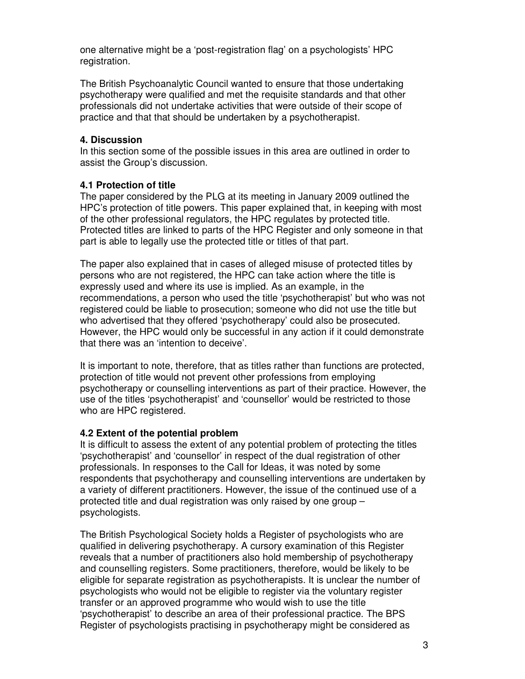one alternative might be a 'post-registration flag' on a psychologists' HPC registration.

The British Psychoanalytic Council wanted to ensure that those undertaking psychotherapy were qualified and met the requisite standards and that other professionals did not undertake activities that were outside of their scope of practice and that that should be undertaken by a psychotherapist.

#### **4. Discussion**

In this section some of the possible issues in this area are outlined in order to assist the Group's discussion.

#### **4.1 Protection of title**

The paper considered by the PLG at its meeting in January 2009 outlined the HPC's protection of title powers. This paper explained that, in keeping with most of the other professional regulators, the HPC regulates by protected title. Protected titles are linked to parts of the HPC Register and only someone in that part is able to legally use the protected title or titles of that part.

The paper also explained that in cases of alleged misuse of protected titles by persons who are not registered, the HPC can take action where the title is expressly used and where its use is implied. As an example, in the recommendations, a person who used the title 'psychotherapist' but who was not registered could be liable to prosecution; someone who did not use the title but who advertised that they offered 'psychotherapy' could also be prosecuted. However, the HPC would only be successful in any action if it could demonstrate that there was an 'intention to deceive'.

It is important to note, therefore, that as titles rather than functions are protected, protection of title would not prevent other professions from employing psychotherapy or counselling interventions as part of their practice. However, the use of the titles 'psychotherapist' and 'counsellor' would be restricted to those who are HPC registered.

### **4.2 Extent of the potential problem**

It is difficult to assess the extent of any potential problem of protecting the titles 'psychotherapist' and 'counsellor' in respect of the dual registration of other professionals. In responses to the Call for Ideas, it was noted by some respondents that psychotherapy and counselling interventions are undertaken by a variety of different practitioners. However, the issue of the continued use of a protected title and dual registration was only raised by one group – psychologists.

The British Psychological Society holds a Register of psychologists who are qualified in delivering psychotherapy. A cursory examination of this Register reveals that a number of practitioners also hold membership of psychotherapy and counselling registers. Some practitioners, therefore, would be likely to be eligible for separate registration as psychotherapists. It is unclear the number of psychologists who would not be eligible to register via the voluntary register transfer or an approved programme who would wish to use the title 'psychotherapist' to describe an area of their professional practice. The BPS Register of psychologists practising in psychotherapy might be considered as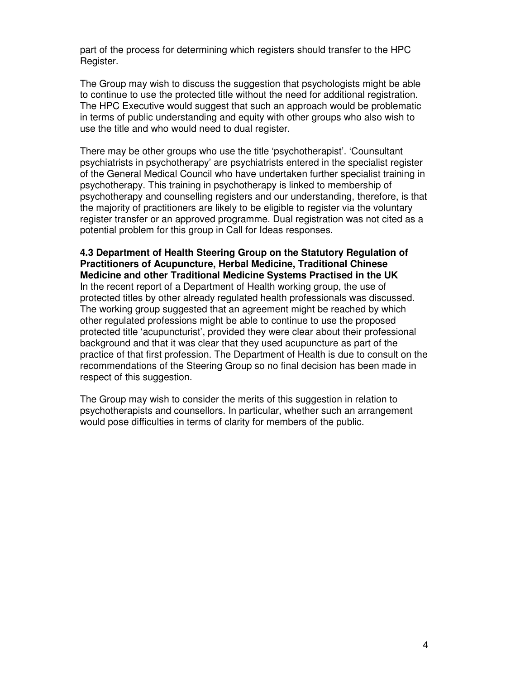part of the process for determining which registers should transfer to the HPC Register.

The Group may wish to discuss the suggestion that psychologists might be able to continue to use the protected title without the need for additional registration. The HPC Executive would suggest that such an approach would be problematic in terms of public understanding and equity with other groups who also wish to use the title and who would need to dual register.

There may be other groups who use the title 'psychotherapist'. 'Counsultant psychiatrists in psychotherapy' are psychiatrists entered in the specialist register of the General Medical Council who have undertaken further specialist training in psychotherapy. This training in psychotherapy is linked to membership of psychotherapy and counselling registers and our understanding, therefore, is that the majority of practitioners are likely to be eligible to register via the voluntary register transfer or an approved programme. Dual registration was not cited as a potential problem for this group in Call for Ideas responses.

**4.3 Department of Health Steering Group on the Statutory Regulation of Practitioners of Acupuncture, Herbal Medicine, Traditional Chinese Medicine and other Traditional Medicine Systems Practised in the UK**  In the recent report of a Department of Health working group, the use of protected titles by other already regulated health professionals was discussed. The working group suggested that an agreement might be reached by which other regulated professions might be able to continue to use the proposed protected title 'acupuncturist', provided they were clear about their professional background and that it was clear that they used acupuncture as part of the practice of that first profession. The Department of Health is due to consult on the recommendations of the Steering Group so no final decision has been made in respect of this suggestion.

The Group may wish to consider the merits of this suggestion in relation to psychotherapists and counsellors. In particular, whether such an arrangement would pose difficulties in terms of clarity for members of the public.